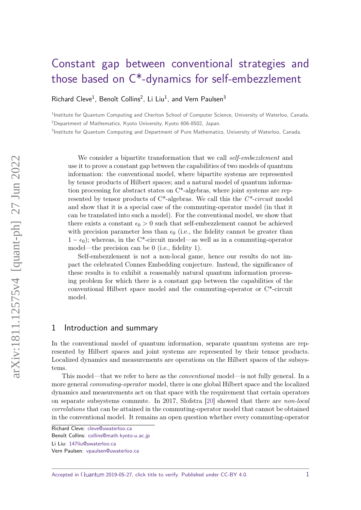# [Constant gap between conventional strategies and](https://quantum-journal.org/?s=Constant%20gap%20between%20conventional%20strategies%20and%20those%20based%20on%20C*-dynamics%20for%20self-embezzlement&reason=title-click) [those based on C\\*-dynamics for self-embezzlement](https://quantum-journal.org/?s=Constant%20gap%20between%20conventional%20strategies%20and%20those%20based%20on%20C*-dynamics%20for%20self-embezzlement&reason=title-click)

Richard Cleve<sup>1</sup>, Benoît Collins<sup>2</sup>, Li Liu<sup>1</sup>, and Vern Paulsen<sup>3</sup>

<sup>1</sup>Institute for Quantum Computing and Cheriton School of Computer Science, University of Waterloo, Canada. <sup>2</sup>Department of Mathematics, Kyoto University, Kyoto 606-8502, Japan.

3 Institute for Quantum Computing and Department of Pure Mathematics, University of Waterloo, Canada.

We consider a bipartite transformation that we call *self-embezzlement* and use it to prove a constant gap between the capabilities of two models of quantum information: the conventional model, where bipartite systems are represented by tensor products of Hilbert spaces; and a natural model of quantum information processing for abstract states on C\*-algebras, where joint systems are represented by tensor products of  $C^*$ -algebras. We call this the  $C^*$ -circuit model and show that it is a special case of the commuting-operator model (in that it can be translated into such a model). For the conventional model, we show that there exists a constant  $\epsilon_0 > 0$  such that self-embezzlement cannot be achieved with precision parameter less than  $\epsilon_0$  (i.e., the fidelity cannot be greater than  $1 - \epsilon_0$ ); whereas, in the C<sup>\*</sup>-circuit model—as well as in a commuting-operator model—the precision can be 0 (i.e., fidelity 1).

Self-embezzlement is not a non-local game, hence our results do not impact the celebrated Connes Embedding conjecture. Instead, the significance of these results is to exhibit a reasonably natural quantum information processing problem for which there is a constant gap between the capabilities of the conventional Hilbert space model and the commuting-operator or C\*-circuit model.

## 1 Introduction and summary

In the conventional model of quantum information, separate quantum systems are represented by Hilbert spaces and joint systems are represented by their tensor products. Localized dynamics and measurements are operations on the Hilbert spaces of the subsystems.

This model—that we refer to here as the conventional model—is not fully general. In a more general commuting-operator model, there is one global Hilbert space and the localized dynamics and measurements act on that space with the requirement that certain operators on separate subsystems commute. In 2017, Slofstra [\[20\]](#page-13-0) showed that there are non-local correlations that can be attained in the commuting-operator model that cannot be obtained in the conventional model. It remains an open question whether every commuting-operator

Accepted in  $\langle \rangle$ uantum 2019-05-27, click title to verify. Published under CC-BY 4.0.  $1$ 

Richard Cleve: [cleve@uwaterloo.ca](mailto:cleve@uwaterloo.ca)

Benoît Collins: [collins@math.kyoto-u.ac.jp](mailto:collins@math.kyoto-u.ac.jp)

Li Liu: [147liu@uwaterloo.ca](mailto:147liu@uwaterloo.ca)

Vern Paulsen: [vpaulsen@uwaterloo.ca](mailto:vpaulsen@uwaterloo.ca)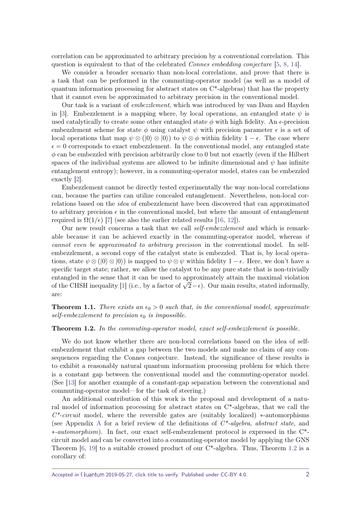correlation can be approximated to arbitrary precision by a conventional correlation. This question is equivalent to that of the celebrated *Connes embedding conjecture* [\[5,](#page-12-0) [8,](#page-12-1) [14\]](#page-13-1).

We consider a broader scenario than non-local correlations, and prove that there is a task that can be performed in the commuting-operator model (as well as a model of quantum information processing for abstract states on C\*-algebras) that has the property that it cannot even be approximated to arbitrary precision in the conventional model.

Our task is a variant of embezzlement, which was introduced by van Dam and Hayden in [\[3\]](#page-12-2). Embezzlement is a mapping where, by local operations, an entangled state  $\psi$  is used catalytically to create some other entangled state  $\phi$  with high fidelity. An  $\epsilon$ -precision embezzlement scheme for state  $\phi$  using catalyst  $\psi$  with precision parameter  $\epsilon$  is a set of local operations that map  $\psi \otimes (0) \otimes (0)$  to  $\psi \otimes \phi$  within fidelity  $1 - \epsilon$ . The case where  $\epsilon = 0$  corresponds to exact embezzlement. In the conventional model, any entangled state *φ* can be embezzled with precision arbitrarily close to 0 but not exactly (even if the Hilbert spaces of the individual systems are allowed to be infinite dimensional and *ψ* has infinite entanglement entropy); however, in a commuting-operator model, states can be embezzled exactly [\[2\]](#page-12-3).

Embezzlement cannot be directly tested experimentally the way non-local correlations can, because the parties can utilize concealed entanglement. Nevertheless, non-local correlations based on the idea of embezzlement have been discovered that can approximated to arbitrary precision  $\epsilon$  in the conventional model, but where the amount of entanglement required is  $\Omega(1/\epsilon)$  [\[7\]](#page-12-4) (see also the earlier related results [\[16,](#page-13-2) [12\]](#page-13-3)).

Our new result concerns a task that we call self-embezzlement and which is remarkable because it can be achieved exactly in the commuting-operator model, whereas it cannot even be approximated to arbitrary precision in the conventional model. In selfembezzlement, a second copy of the catalyst state is embezzled. That is, by local operations, state  $\psi \otimes (0) \otimes (0)$  is mapped to  $\psi \otimes \psi$  within fidelity  $1 - \epsilon$ . Here, we don't have a specific target state; rather, we allow the catalyst to be any pure state that is non-trivially entangled in the sense that it can be used to approximately attain the maximal violation of the CHSH inequality [\[1\]](#page-12-5) (i.e., by a factor of  $\sqrt{2} - \epsilon$ ). Our main results, stated informally, are:

**Theorem 1.1.** *There exists an*  $\epsilon_0 > 0$  *such that, in the conventional model, approximate self-embezzlement to precision*  $\epsilon_0$  *is impossible.* 

#### <span id="page-1-0"></span>**Theorem 1.2.** *In the commuting-operator model, exact self-embezzlement is possible.*

We do not know whether there are non-local correlations based on the idea of selfembezzlement that exhibit a gap between the two models and make no claim of any consequences regarding the Connes conjecture. Instead, the significance of these results is to exhibit a reasonably natural quantum information processing problem for which there is a constant gap between the conventional model and the commuting-operator model. (See [\[13\]](#page-13-4) for another example of a constant-gap separation between the conventional and commuting-operator model—for the task of steering.)

An additional contribution of this work is the proposal and development of a natural model of information processing for abstract states on C\*-algebras, that we call the  $C^*$ -circuit model, where the reversible gates are (suitably localized)  $*$ -automorphisms (see [A](#page-13-5)ppendix A for a brief review of the definitions of  $C^*$ -algebra, abstract state, and ∗-automorphism). In fact, our exact self-embezzlement protocol is expressed in the C\* circuit model and can be converted into a commuting-operator model by applying the GNS Theorem [\[6,](#page-12-6) [19\]](#page-13-6) to a suitable crossed product of our  $C^*$ -algebra. Thus, Theorem [1.2](#page-1-0) is a corollary of: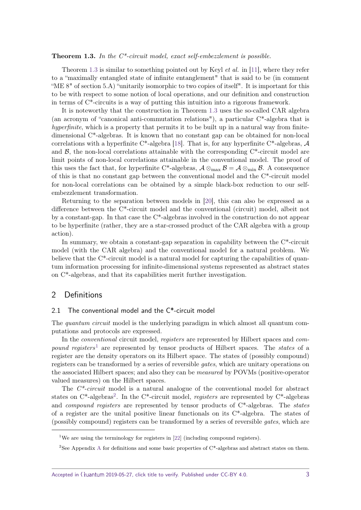<span id="page-2-0"></span>**Theorem 1.3.** *In the C\*-circuit model, exact self-embezzlement is possible.*

Theorem [1.3](#page-2-0) is similar to something pointed out by Keyl *et al.* in [\[11\]](#page-13-7), where they refer to a "maximally entangled state of infinite entanglement" that is said to be (in comment "ME 8" of section 5.A) "unitarily isomorphic to two copies of itself". It is important for this to be with respect to some notion of local operations, and our definition and construction in terms of C\*-circuits is a way of putting this intuition into a rigorous framework.

It is noteworthy that the construction in Theorem [1.3](#page-2-0) uses the so-called CAR algebra (an acronym of "canonical anti-commutation relations"), a particular C\*-algebra that is hyperfinite, which is a property that permits it to be built up in a natural way from finitedimensional  $C^*$ -algebras. It is known that no constant gap can be obtained for non-local correlations with a hyperfinite C\*-algebra [\[18\]](#page-13-8). That is, for any hyperfinite C\*-algebras,  $A$ and  $\beta$ , the non-local correlations attainable with the corresponding  $C^*$ -circuit model are limit points of non-local correlations attainable in the conventional model. The proof of this uses the fact that, for hyperfinite C<sup>\*</sup>-algebras,  $\mathcal{A} \otimes_{\text{max}} \mathcal{B} = \mathcal{A} \otimes_{\text{min}} \mathcal{B}$ . A consequence of this is that no constant gap between the conventional model and the C\*-circuit model for non-local correlations can be obtained by a simple black-box reduction to our selfembezzlement transformation.

Returning to the separation between models in [\[20\]](#page-13-0), this can also be expressed as a difference between the C\*-circuit model and the conventional (circuit) model, albeit not by a constant-gap. In that case the C\*-algebras involved in the construction do not appear to be hyperfinite (rather, they are a star-crossed product of the CAR algebra with a group action).

In summary, we obtain a constant-gap separation in capability between the C\*-circuit model (with the CAR algebra) and the conventional model for a natural problem. We believe that the C\*-circuit model is a natural model for capturing the capabilities of quantum information processing for infinite-dimensional systems represented as abstract states on C\*-algebras, and that its capabilities merit further investigation.

## 2 Definitions

## 2.1 The conventional model and the C<sup>\*</sup>-circuit model

The quantum circuit model is the underlying paradigm in which almost all quantum computations and protocols are expressed.

In the *conventional* circuit model, *registers* are represented by Hilbert spaces and *compound reqisters*<sup>[1](#page-2-1)</sup> are represented by tensor products of Hilbert spaces. The *states* of a register are the density operators on its Hilbert space. The states of (possibly compound) registers can be transformed by a series of reversible *gates*, which are unitary operations on the associated Hilbert spaces; and also they can be measured by POVMs (positive-operator valued measures) on the Hilbert spaces.

The  $C^*$ -circuit model is a natural analogue of the conventional model for abstract states on  $C^*$ -algebras<sup>[2](#page-2-2)</sup>. In the  $C^*$ -circuit model, *registers* are represented by  $C^*$ -algebras and *compound registers* are represented by tensor products of  $C^*$ -algebras. The *states* of a register are the unital positive linear functionals on its  $C^*$ -algebra. The states of (possibly compound) registers can be transformed by a series of reversible gates, which are

<span id="page-2-1"></span><sup>&</sup>lt;sup>1</sup>We are using the terminology for registers in [\[22\]](#page-13-9) (including compound registers).

<span id="page-2-2"></span><sup>&</sup>lt;sup>2</sup>See [A](#page-13-5)ppendix A for definitions and some basic properties of C<sup>\*</sup>-algebras and abstract states on them.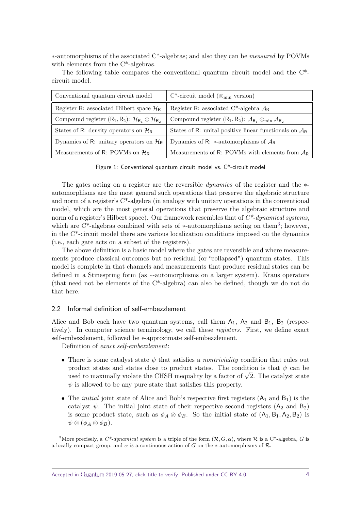∗-automorphisms of the associated C\*-algebras; and also they can be measured by POVMs with elements from the C\*-algebras.

The following table compares the conventional quantum circuit model and the C\* circuit model.

| Conventional quantum circuit model                                             | $C^*$ -circuit model ( $\otimes_{\min}$ version)                                      |
|--------------------------------------------------------------------------------|---------------------------------------------------------------------------------------|
| Register R: associated Hilbert space $\mathcal{H}_{R}$                         | Register R: associated C*-algebra $A_R$                                               |
| Compound register $(R_1, R_2)$ : $\mathcal{H}_{R_1} \otimes \mathcal{H}_{R_2}$ | Compound register $(R_1, R_2)$ : $\mathcal{A}_{R_1} \otimes_{\min} \mathcal{A}_{R_2}$ |
| States of R: density operators on $\mathcal{H}_{R}$                            | States of R: unital positive linear functionals on $A_R$                              |
| Dynamics of R: unitary operators on $\mathcal{H}_{R}$                          | Dynamics of R: *-automorphisms of $A_R$                                               |
| Measurements of R: POVMs on $\mathcal{H}_{R}$                                  | Measurements of R: POVMs with elements from $A_R$                                     |

Figure 1: Conventional quantum circuit model vs. C\*-circuit model

The gates acting on a register are the reversible dynamics of the register and the ∗ automorphisms are the most general such operations that preserve the algebraic structure and norm of a register's  $C^*$ -algebra (in analogy with unitary operations in the conventional model, which are the most general operations that preserve the algebraic structure and norm of a register's Hilbert space). Our framework resembles that of  $C^*$ -dynamical systems, which are  $C^*$ -algebras combined with sets of  $*$ -automorphisms acting on them<sup>[3](#page-3-0)</sup>; however, in the C\*-circuit model there are various localization conditions imposed on the dynamics (i.e., each gate acts on a subset of the registers).

The above definition is a basic model where the gates are reversible and where measurements produce classical outcomes but no residual (or "collapsed") quantum states. This model is complete in that channels and measurements that produce residual states can be defined in a Stinespring form (as ∗-automorphisms on a larger system). Kraus operators (that need not be elements of the C\*-algebra) can also be defined, though we do not do that here.

#### 2.2 Informal definition of self-embezzlement

Alice and Bob each have two quantum systems, call them  $A_1$ ,  $A_2$  and  $B_1$ ,  $B_2$  (respectively). In computer science terminology, we call these *registers*. First, we define exact self-embezzlement, followed be  $\epsilon$ -approximate self-embezzlement.

Definition of exact self-embezzlement:

- There is some catalyst state *ψ* that satisfies a *nontriviality* condition that rules out product states and states close to product states. The condition is that  $\psi$  can be product states and states close to product states. The condition is that  $\psi$  can be used to maximally violate the CHSH inequality by a factor of  $\sqrt{2}$ . The catalyst state  $\psi$  is allowed to be any pure state that satisfies this property.
- The *initial* joint state of Alice and Bob's respective first registers  $(A_1 \text{ and } B_1)$  is the catalyst  $\psi$ . The initial joint state of their respective second registers  $(A_2 \text{ and } B_2)$ is some product state, such as  $\phi_A \otimes \phi_B$ . So the initial state of  $(A_1, B_1, A_2, B_2)$  is  $\psi \otimes (\phi_A \otimes \phi_B).$

<span id="page-3-0"></span><sup>&</sup>lt;sup>3</sup>More precisely, a  $C^*$ -dynamical system is a triple of the form  $(\mathcal{R}, G, \alpha)$ , where  $\mathcal{R}$  is a  $C^*$ -algebra, *G* is a locally compact group, and  $\alpha$  is a continuous action of *G* on the ∗-automorphisms of  $\mathcal{R}$ .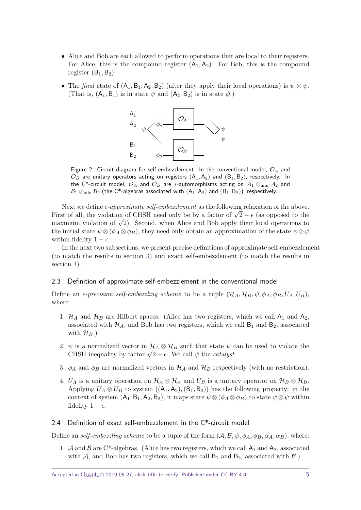- Alice and Bob are each allowed to perform operations that are local to their registers. For Alice, this is the compound register  $(A_1, A_2)$ . For Bob, this is the compound register  $(B_1, B_2)$ .
- The final state of  $(A_1, B_1, A_2, B_2)$  (after they apply their local operations) is  $\psi \otimes \psi$ . (That is,  $(A_1, B_1)$  is in state  $\psi$  and  $(A_2, B_2)$  is in state  $\psi$ .)



Figure 2: Circuit diagram for self-embezzlement. In the conventional model, O*<sup>A</sup>* and  $\mathcal{O}_B$  are unitary operators acting on registers  $(A_1, A_2)$  and  $(B_1, B_2)$ , respectively. In the C<sup>\*</sup>-circuit model,  $\mathcal{O}_A$  and  $\mathcal{O}_B$  are  $*$ -automorphisms acting on  $\mathcal{A}_1 \otimes_{\min} \mathcal{A}_2$  and  $B_1 \otimes_{\min} B_2$  (the C\*-algebras associated with  $(A_1, A_2)$  and  $(B_1, B_2)$ ), respectively.

Next we define  $\epsilon$ -approximate self-embezzlement as the following relaxation of the above. First of all, the violation of CHSH need only be by a factor of  $\sqrt{2} - \epsilon$  (as opposed to the r irst of an, the violation of CHSH heed only be by a factor of  $\sqrt{2} - \epsilon$  (as opposed to the maximum violation of  $\sqrt{2}$ ). Second, when Alice and Bob apply their local operations to the initial state  $\psi \otimes (\phi_A \otimes \phi_B)$ , they need only obtain an approximation of the state  $\psi \otimes \psi$ within fidelity  $1 - \epsilon$ .

In the next two subsections, we present precise definitions of approximate self-embezzlement (to match the results in section [3\)](#page-5-0) and exact self-embezzlement (to match the results in section [4\)](#page-8-0).

## 2.3 Definition of approximate self-embezzlement in the conventional model

Define an  $\epsilon$ -precision self-embezzling scheme to be a tuple  $(\mathcal{H}_A, \mathcal{H}_B, \psi, \phi_A, \phi_B, U_A, U_B)$ , where:

- 1.  $\mathcal{H}_A$  and  $\mathcal{H}_B$  are Hilbert spaces. (Alice has two registers, which we call  $A_1$  and  $A_2$ , associated with  $\mathcal{H}_A$ , and Bob has two registers, which we call  $B_1$  and  $B_2$ , associated with  $\mathcal{H}_B$ .)
- 2.  $\psi$  is a normalized vector in  $\mathcal{H}_A \otimes \mathcal{H}_B$  such that state  $\psi$  can be used to violate the  $\psi$  is a normalized vector in  $\pi_A \otimes \pi_B$  such that state  $\psi$  c<br>CHSH inequality by factor  $\sqrt{2} - \epsilon$ . We call  $\psi$  the *catalyst*.
- 3.  $\phi_A$  and  $\phi_B$  are normalized vectors in  $\mathcal{H}_A$  and  $\mathcal{H}_B$  respectively (with no restriction).
- 4. *U<sub>A</sub>* is a unitary operation on  $\mathcal{H}_A \otimes \mathcal{H}_A$  and  $U_B$  is a unitary operator on  $\mathcal{H}_B \otimes \mathcal{H}_B$ . Applying  $U_A \otimes U_B$  to system  $((A_1, A_2), (B_1, B_2))$  has the following property: in the context of system  $(A_1, B_1, A_2, B_2)$ , it maps state  $\psi \otimes (\phi_A \otimes \phi_B)$  to state  $\psi \otimes \psi$  within fidelity  $1 - \epsilon$ .

#### 2.4 Definition of exact self-embezzlement in the C\*-circuit model

Define an self-embezzling scheme to be a tuple of the form  $(A, \mathcal{B}, \psi, \phi_A, \phi_B, \alpha_A, \alpha_B)$ , where:

1. A and B are C\*-algebras. (Alice has two registers, which we call  $A_1$  and  $A_2$ , associated with A, and Bob has two registers, which we call  $B_1$  and  $B_2$ , associated with  $\beta$ .)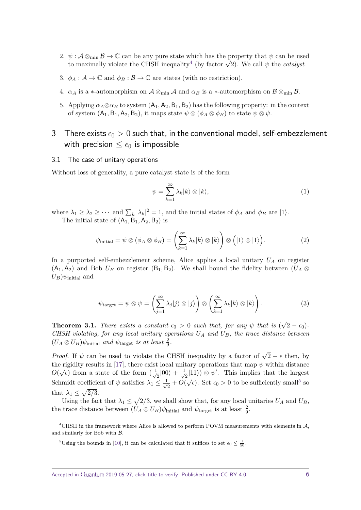- 2.  $\psi : \mathcal{A} \otimes_{\min} \mathcal{B} \to \mathbb{C}$  can be any pure state which has the property that  $\psi$  can be used  $\psi : A \otimes_{\min} B \to \mathbb{C}$  can be any pure state which has the property that  $\psi$  can be use<br>to maximally violate the CHSH inequality<sup>[4](#page-5-1)</sup> (by factor  $\sqrt{2}$ ). We call  $\psi$  the *catalyst*.
- 3.  $\phi_A : A \to \mathbb{C}$  and  $\phi_B : B \to \mathbb{C}$  are states (with no restriction).
- 4.  $\alpha_A$  is a ∗-automorphism on  $A \otimes_{\min} A$  and  $\alpha_B$  is a ∗-automorphism on  $B \otimes_{\min} B$ .
- 5. Applying  $\alpha_A \otimes \alpha_B$  to system  $(A_1, A_2, B_1, B_2)$  has the following property: in the context of system  $(A_1, B_1, A_2, B_2)$ , it maps state  $\psi \otimes (\phi_A \otimes \phi_B)$  to state  $\psi \otimes \psi$ .
- <span id="page-5-0"></span>3 There exists  $\epsilon_0 > 0$  such that, in the conventional model, self-embezzlement with precision  $\leq \epsilon_0$  is impossible

#### 3.1 The case of unitary operations

Without loss of generality, a pure catalyst state is of the form

$$
\psi = \sum_{k=1}^{\infty} \lambda_k |k\rangle \otimes |k\rangle,\tag{1}
$$

where  $\lambda_1 \geq \lambda_2 \geq \cdots$  and  $\sum_k |\lambda_k|^2 = 1$ , and the initial states of  $\phi_A$  and  $\phi_B$  are  $|1\rangle$ . The initial state of  $(A_1, B_1, A_2, B_2)$  is

$$
\psi_{\text{initial}} = \psi \otimes (\phi_A \otimes \phi_B) = \left(\sum_{k=1}^{\infty} \lambda_k |k\rangle \otimes |k\rangle\right) \otimes (|1\rangle \otimes |1\rangle).
$$
 (2)

In a purported self-embezzlement scheme, Alice applies a local unitary *U<sup>A</sup>* on register  $(A_1, A_2)$  and Bob  $U_B$  on register  $(B_1, B_2)$ . We shall bound the fidelity between  $(U_A \otimes$  $U_B$ ) $\psi$ <sub>initial</sub> and

$$
\psi_{\text{target}} = \psi \otimes \psi = \left(\sum_{j=1}^{\infty} \lambda_j |j\rangle \otimes |j\rangle\right) \otimes \left(\sum_{k=1}^{\infty} \lambda_k |k\rangle \otimes |k\rangle\right). \tag{3}
$$

<span id="page-5-3"></span>**Theorem 3.1.** *There exists a constant*  $\epsilon_0 > 0$  *such that, for any*  $\psi$  *that is* ( √  $\overline{2}-\epsilon_0)$ -*CHSH violating, for any local unitary operations U<sup>A</sup> and UB, the trace distance between*  $(U_A \otimes U_B)\psi$ initial *and*  $\psi$ <sub>target</sub> *is at least*  $\frac{2}{9}$ .

*Proof.* If  $\psi$  can be used to violate the CHSH inequality by a factor of  $\sqrt{2} - \epsilon$  then, by the rigidity results in [\[17\]](#page-13-10), there exist local unitary operations that map  $\psi$  within distance  $O(\sqrt{\epsilon})$  from a state of the form  $(\frac{1}{\sqrt{\epsilon}})$  $\frac{1}{2}|00\rangle + \frac{1}{\sqrt{2}}$  $\frac{1}{2}$ (11)  $\otimes \psi'$ . This implies that the largest Schmidt coefficient of  $\psi$  satisfies  $\lambda_1 \leq \frac{1}{\sqrt{2}}$  $\frac{1}{2} + O(\sqrt{\epsilon})$ . Set  $\epsilon_0 > 0$  to be sufficiently small<sup>[5](#page-5-2)</sup> so  $^{2}$  ∫ that  $\lambda_1 \leq \sqrt{2/3}$ .

Using the fact that  $\lambda_1 \leq \sqrt{2/3}$ , we shall show that, for any local unitaries  $U_A$  and  $U_B$ , the trace distance between  $(U_A \otimes U_B)\psi_{initial}$  and  $\psi_{target}$  is at least  $\frac{2}{9}$ .

<span id="page-5-1"></span><sup>&</sup>lt;sup>4</sup>CHSH in the framework where Alice is allowed to perform POVM measurements with elements in  $A$ , and similarly for Bob with B.

<span id="page-5-2"></span><sup>&</sup>lt;sup>5</sup>Using the bounds in [\[10\]](#page-13-11), it can be calculated that it suffices to set  $\epsilon_0 \leq \frac{1}{50}$ .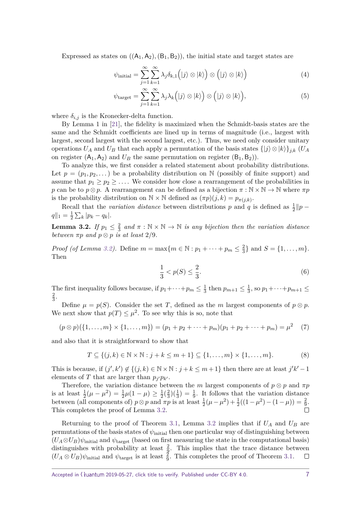Expressed as states on  $((A_1, A_2), (B_1, B_2))$ , the initial state and target states are

$$
\psi_{\text{initial}} = \sum_{j=1}^{\infty} \sum_{k=1}^{\infty} \lambda_j \delta_{k,1} (|j\rangle \otimes |k\rangle) \otimes (|j\rangle \otimes |k\rangle)
$$
(4)

$$
\psi_{\text{target}} = \sum_{j=1}^{\infty} \sum_{k=1}^{\infty} \lambda_j \lambda_k (|j\rangle \otimes |k\rangle) \otimes (|j\rangle \otimes |k\rangle), \tag{5}
$$

where  $\delta_{i,j}$  is the Kronecker-delta function.

By Lemma 1 in [\[21\]](#page-13-12), the fidelity is maximized when the Schmidt-basis states are the same and the Schmidt coefficients are lined up in terms of magnitude (i.e., largest with largest, second largest with the second largest, etc.). Thus, we need only consider unitary operations  $U_A$  and  $U_B$  that each apply a permutation of the basis states  $\{|j\rangle \otimes |k\rangle\}_{j,k}$  ( $U_A$ on register  $(A_1, A_2)$  and  $U_B$  the same permutation on register  $(B_1, B_2)$ .

To analyze this, we first consider a related statement about probability distributions. Let  $p = (p_1, p_2, \dots)$  be a probability distribution on N (possibly of finite support) and assume that  $p_1 \geq p_2 \geq \ldots$ . We consider how close a rearrangement of the probabilities in *p* can be to  $p \otimes p$ . A rearrangement can be defined as a bijection  $\pi : \mathbb{N} \times \mathbb{N} \to \mathbb{N}$  where  $\pi p$ is the probability distribution on  $\mathbb{N} \times \mathbb{N}$  defined as  $(\pi p)(j, k) = p_{\pi(j,k)}$ .

Recall that the *variation distance* between distributions *p* and *q* is defined as  $\frac{1}{2}||p$  $q||_1 = \frac{1}{2}$  $\frac{1}{2} \sum_{k} |p_k - q_k|.$ 

<span id="page-6-0"></span>**Lemma 3.2.** *If*  $p_1 \leq \frac{2}{3}$  $\frac{2}{3}$  and  $\pi : \mathbb{N} \times \mathbb{N} \to \mathbb{N}$  *is any bijection then the variation distance between*  $\pi p$  *and*  $p \otimes p$  *is at least* 2/9*.* 

*Proof (of Lemma [3.2\)](#page-6-0).* Define  $m = \max\{m \in \mathbb{N} : p_1 + \cdots + p_m \leq \frac{2}{3}\}$  $\frac{2}{3}$  and  $S = \{1, \ldots, m\}.$ Then

$$
\frac{1}{3} < p(S) \le \frac{2}{3}.\tag{6}
$$

The first inequality follows because, if  $p_1 + \cdots + p_m \leq \frac{1}{3}$  $\frac{1}{3}$  then  $p_{m+1} \leq \frac{1}{3}$  $\frac{1}{3}$ , so  $p_1 + \cdots + p_{m+1} \leq$ 2  $\frac{2}{3}$ .

Define  $\mu = p(S)$ . Consider the set *T*, defined as the *m* largest components of  $p \otimes p$ . We next show that  $p(T) \leq \mu^2$ . To see why this is so, note that

$$
(p \otimes p)(\{1, \ldots, m\} \times \{1, \ldots, m\}) = (p_1 + p_2 + \cdots + p_m)(p_1 + p_2 + \cdots + p_m) = \mu^2 \quad (7)
$$

and also that it is straightforward to show that

$$
T \subseteq \{ (j,k) \in \mathbb{N} \times \mathbb{N} : j+k \le m+1 \} \subseteq \{ 1, \ldots, m \} \times \{ 1, \ldots, m \}. \tag{8}
$$

This is because, if  $(j', k') \notin \{(j, k) \in \mathbb{N} \times \mathbb{N} : j + k \leq m + 1\}$  then there are at least  $j'k' - 1$ elements of *T* that are larger than  $p_{j'}p_{k'}$ .

Therefore, the variation distance between the *m* largest components of  $p \otimes p$  and  $\pi p$ is at least  $\frac{1}{2}(\mu - \mu^2) = \frac{1}{2}\mu(1 - \mu) \ge \frac{1}{2}$  $\frac{1}{2}(\frac{2}{3})$  $\frac{2}{3}$  $(\frac{1}{3}) = \frac{1}{9}$ . It follows that the variation distance between (all components of)  $p \otimes p$  and  $\pi p$  is at least  $\frac{1}{2}(\mu - \mu^2) + \frac{1}{2}((1 - \mu^2) - (1 - \mu)) = \frac{2}{9}$ . This completes the proof of Lemma [3.2.](#page-6-0)

Returning to the proof of Theorem [3.1,](#page-5-3) Lemma [3.2](#page-6-0) implies that if  $U_A$  and  $U_B$  are permutations of the basis states of  $\psi$ <sub>initial</sub> then one particular way of distinguishing between  $(U_A \otimes U_B)\psi$ <sub>initial</sub> and  $\psi$ <sub>target</sub> (based on first measuring the state in the computational basis) distinguishes with probability at least  $\frac{2}{9}$ . This implies that the trace distance between  $(U_A \otimes U_B)\psi_{\text{initial}}$  and  $\psi_{\text{target}}$  is at least  $\frac{3}{9}$ . This completes the proof of Theorem [3.1.](#page-5-3)  $\Box$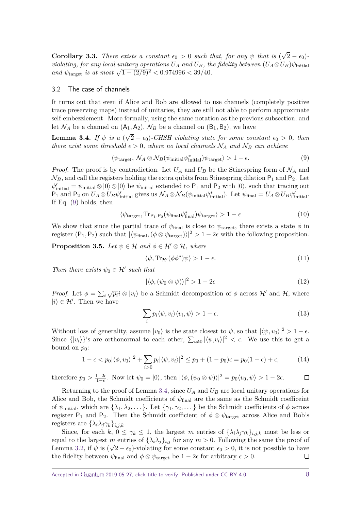**Corollary 3.3.** *There exists a constant*  $\epsilon_0 > 0$  *such that, for any*  $\psi$  *that is* ( √  $\overline{2}-\epsilon_{0})$ *violating, for any local unitary operations*  $U_A$  *and*  $U_B$ *, the fidelity between*  $(U_A \otimes U_B)\psi_{initial}$ *and*  $\psi_{\text{target}}$  *is at most*  $\sqrt{1 - (2/9)^2} < 0.974996 < 39/40$ *.* 

#### 3.2 The case of channels

It turns out that even if Alice and Bob are allowed to use channels (completely positive trace preserving maps) instead of unitaries, they are still not able to perform approximate self-embezzlement. More formally, using the same notation as the previous subsection, and let  $\mathcal{N}_A$  be a channel on  $(A_1, A_2)$ ,  $\mathcal{N}_B$  be a channel on  $(B_1, B_2)$ , we have √

<span id="page-7-1"></span>**Lemma 3.4.** *If*  $\psi$  *is a* (  $\sqrt{2} - \epsilon_0$ )-CHSH violating state for some constant  $\epsilon_0 > 0$ , then *there exist some threshold*  $\epsilon > 0$ *, where no local channels*  $\mathcal{N}_A$  *and*  $\mathcal{N}_B$  *can achieve* 

$$
\langle \psi_{\text{target}}, \mathcal{N}_A \otimes \mathcal{N}_B(\psi_{\text{initial}} \psi_{\text{initial}}^*) \rangle \rangle \ge 1 - \epsilon. \tag{9}
$$

*Proof.* The proof is by contradiction. Let  $U_A$  and  $U_B$  be the Stinespring form of  $\mathcal{N}_A$  and  $\mathcal{N}_B$ , and call the registers holding the extra qubits from Stinespring dilation  $P_1$  and  $P_2$ . Let  $\psi'_{\text{initial}} = \psi_{\text{initial}} \otimes |0\rangle \otimes |0\rangle$  be  $\psi_{\text{initial}}$  extended to P<sub>1</sub> and P<sub>2</sub> with  $|0\rangle$ , such that tracing out  $P_1$  and  $P_2$  on  $U_A \otimes U_B \psi'_{initial}$  gives us  $\mathcal{N}_A \otimes \mathcal{N}_B(\psi_{initial} \psi^*_{initial})$ . Let  $\psi_{final} = U_A \otimes U_B \psi'_{initial}$ . If Eq. [\(9\)](#page-7-0) holds, then

$$
\langle \psi_{\text{target}}, \text{Tr}_{\mathsf{P}_1, \mathsf{P}_2}(\psi_{\text{final}} \psi_{\text{final}}^*) \psi_{\text{target}} \rangle > 1 - \epsilon \tag{10}
$$

We show that since the partial trace of  $\psi_{\text{final}}$  is close to  $\psi_{\text{target}}$ , there exists a state  $\phi$  in register  $(P_1, P_2)$  such that  $|\langle \psi_{\text{final}}, (\phi \otimes \psi_{\text{target}}) \rangle|^2 > 1 - 2\epsilon$  with the following proposition.

**Proposition 3.5.** *Let*  $\psi \in \mathcal{H}$  *and*  $\phi \in \mathcal{H}' \otimes \mathcal{H}$ *, where* 

<span id="page-7-0"></span>
$$
\langle \psi, \text{Tr}_{\mathcal{H}'}(\phi \phi^*) \psi \rangle > 1 - \epsilon. \tag{11}
$$

*Then there exists*  $\psi_0 \in \mathcal{H}'$  *such that* 

$$
|\langle \phi, (\psi_0 \otimes \psi) \rangle|^2 > 1 - 2\epsilon \tag{12}
$$

*Proof.* Let  $\phi = \sum_i \sqrt{pi}i \otimes |v_i\rangle$  be a Schmidt decomposition of  $\phi$  across  $\mathcal{H}'$  and  $\mathcal{H}$ , where  $|i\rangle \in \mathcal{H}'$ . Then we have

$$
\sum_{i} p_i \langle \psi, v_i \rangle \langle v_i, \psi \rangle > 1 - \epsilon. \tag{13}
$$

Without loss of generality, assume  $|v_0\rangle$  is the state closest to  $\psi$ , so that  $|\langle \psi, v_0 \rangle|^2 > 1 - \epsilon$ . Since  $\{|v_i\rangle\}$ 's are orthonormal to each other,  $\sum_{i\neq 0} |\langle \psi, v_i \rangle|^2 < \epsilon$ . We use this to get a bound on  $p_0$ :

$$
1 - \epsilon < p_0 |\langle \phi, v_0 \rangle|^2 + \sum_{i > 0} p_i |\langle \psi, v_i \rangle|^2 \leq p_0 + (1 - p_0)\epsilon = p_0(1 - \epsilon) + \epsilon,\tag{14}
$$

therefore  $p_0 > \frac{1-2\epsilon}{1-\epsilon}$  $\frac{1-2\epsilon}{1-\epsilon}$ . Now let  $\psi_0 = |0\rangle$ , then  $|\langle \phi, (\psi_0 \otimes \psi) \rangle|^2 = p_0 \langle v_0, \psi \rangle > 1 - 2\epsilon$ .  $\Box$ 

Returning to the proof of Lemma [3.4,](#page-7-1) since *U<sup>A</sup>* and *U<sup>B</sup>* are local unitary operations for Alice and Bob, the Schmidt coefficients of  $\psi_{\text{final}}$  are the same as the Schmidt coefficeint of  $\psi_{\text{initial}}$ , which are  $\{\lambda_1, \lambda_2, \dots\}$ . Let  $\{\gamma_1, \gamma_2, \dots\}$  be the Schmidt coefficients of  $\phi$  across register  $P_1$  and  $P_2$ . Then the Schmidt coefficient of  $\phi \otimes \psi_{\text{target}}$  across Alice and Bob's registers are  $\{\lambda_i\lambda_j\gamma_k\}_{i,j,k}$ .

Since, for each  $k, 0 \leq \gamma_k \leq 1$ , the largest *m* entries of  $\{\lambda_i\lambda_j\gamma_k\}_{i,j,k}$  must be less or equal to the largest *m* entries of  $\{\lambda_i\lambda_j\}_{i,j}$  for any  $m > 0$ . Following the same the proof of Lemma [3.2,](#page-6-0) if  $\psi$  is  $(\sqrt{2} - \epsilon_0)$ -violating for some constant  $\epsilon_0 > 0$ , it is not possible to have the fidelity between  $\psi_{\text{final}}$  and  $\phi \otimes \psi_{\text{target}}$  be  $1 - 2\epsilon$  for arbitrary  $\epsilon > 0$ .  $\Box$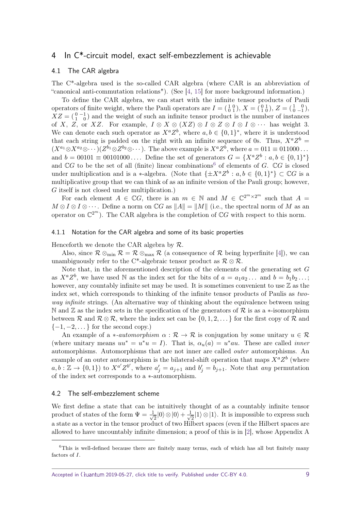## <span id="page-8-0"></span>4 In C\*-circuit model, exact self-embezzlement is achievable

#### 4.1 The CAR algebra

The C\*-algebra used is the so-called CAR algebra (where CAR is an abbreviation of "canonical anti-commutation relations"). (See [\[4,](#page-12-7) [15\]](#page-13-13) for more background information.)

To define the CAR algebra, we can start with the infinite tensor products of Pauli operators of finite weight, where the Pauli operators are  $I = \begin{pmatrix} 1 & 0 \\ 0 & 1 \end{pmatrix}$ ,  $X = \begin{pmatrix} 0 & 1 \\ 1 & 0 \end{pmatrix}$ ,  $Z = \begin{pmatrix} 1 & 0 \\ 0 & -1 \end{pmatrix}$ ,  $XZ = \begin{pmatrix} 0 & -1 \\ 1 & 0 \end{pmatrix}$  and the weight of such an infinite tensor product is the number of instances of *X*, *Z*, or *XZ*. For example,  $I \otimes X \otimes (XZ) \otimes I \otimes Z \otimes I \otimes I \otimes \cdots$  has weight 3. We can denote each such operator as  $X^a Z^b$ , where  $a, b \in \{0, 1\}^*$ , where it is understood that each string is padded on the right with an infinite sequence of 0s. Thus,  $X^a Z^b =$  $(X^{a_1} \otimes X^{a_2} \otimes \cdots)(Z^{b_1} \otimes Z^{b_2} \otimes \cdots)$ . The above example is  $X^a Z^b$ , where  $a = 011 \equiv 011000 \ldots$ and  $b = 00101 \equiv 00101000 \ldots$  Define the set of generators  $G = \{X^a Z^b : a, b \in \{0, 1\}^*\}$ and  $\mathbb{C}G$  to be the set of all (finite) linear combinations<sup>[6](#page-8-1)</sup> of elements of *G*.  $\mathbb{C}G$  is closed under multiplication and is a \*-algebra. (Note that  $\{\pm X^a Z^b : a, b \in \{0,1\}^*\} \subset \mathbb{C}G$  is a multiplicative group that we can think of as an infinite version of the Pauli group; however, *G* itself is not closed under multiplication.)

For each element  $A \in \mathbb{C}G$ , there is an  $m \in \mathbb{N}$  and  $M \in \mathbb{C}^{2^m \times 2^m}$  such that  $A =$  $M \otimes I \otimes I \otimes \cdots$ . Define a norm on  $\mathbb{C}G$  as  $||A|| = ||M||$  (i.e., the spectral norm of *M* as an operator on  $\mathbb{C}^{2^m}$ ). The CAR algebra is the completion of  $\mathbb{C}G$  with respect to this norm.

#### 4.1.1 Notation for the CAR algebra and some of its basic properties

Henceforth we denote the CAR algebra by  $\mathcal{R}$ .

Also, since  $\mathcal{R} \otimes_{\min} \mathcal{R} = \mathcal{R} \otimes_{\max} \mathcal{R}$  (a consequence of  $\mathcal{R}$  being hyperfinite [\[4\]](#page-12-7)), we can unambiguously refer to the C<sup>\*</sup>-algebraic tensor product as  $\mathcal{R} \otimes \mathcal{R}$ .

Note that, in the aforementioned description of the elements of the generating set *G* as  $X^a Z^b$ , we have used N as the index set for the bits of  $a = a_1 a_2 \dots$  and  $b = b_1 b_2 \dots$ ; however, any countably infinite set may be used. It is sometimes convenient to use  $\mathbb Z$  as the index set, which corresponds to thinking of the infinite tensor products of Paulis as twoway infinite strings. (An alternative way of thinking about the equivalence between using N and Z as the index sets in the specification of the generators of R is as a  $*$ -isomorphism between R and  $\mathcal{R} \otimes \mathcal{R}$ , where the index set can be  $\{0, 1, 2, \ldots\}$  for the first copy of R and {−1*,* −2*, . . .* } for the second copy.)

An example of a *\**-*automorphism*  $\alpha : \mathcal{R} \to \mathcal{R}$  is conjugation by some unitary  $u \in \mathcal{R}$ (where unitary means  $uu^* = u^*u = I$ ). That is,  $\alpha_u(a) = u^*au$ . These are called *inner* automorphisms. Automorphisms that are not inner are called outer automorphisms. An example of an outer automorphism is the bilateral-shift operation that maps  $X^a Z^b$  (where  $a, b : \mathbb{Z} \to \{0, 1\}$  to  $X^{a'} Z^{b'}$ , where  $a'_{j} = a_{j+1}$  and  $b'_{j} = b_{j+1}$ . Note that any permutation of the index set corresponds to a ∗-automorphism.

## 4.2 The self-embezzlement scheme

We first define a state that can be intuitively thought of as a countably infinite tensor product of states of the form  $\Psi = \frac{1}{\sqrt{2}}$  $\frac{1}{2}|0\rangle\otimes|0\rangle+\frac{1}{\sqrt{2}}$  $\frac{1}{2}|1\rangle \otimes |1\rangle$ . It is impossible to express such a state as a vector in the tensor product of two Hilbert spaces (even if the Hilbert spaces are allowed to have uncountably infinite dimension; a proof of this is in [\[2\]](#page-12-3), whose Appendix A

<span id="page-8-1"></span><sup>&</sup>lt;sup>6</sup>This is well-defined because there are finitely many terms, each of which has all but finitely many factors of *I*.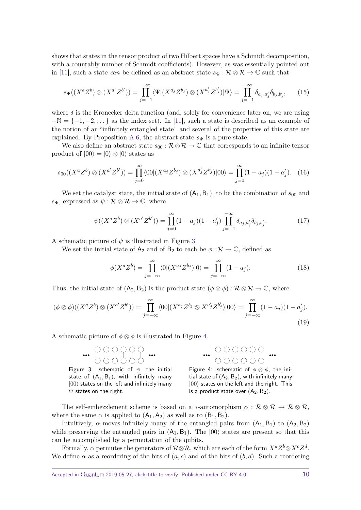shows that states in the tensor product of two Hilbert spaces have a Schmidt decomposition, with a countably number of Schmidt coefficients). However, as was essentially pointed out in [\[11\]](#page-13-7), such a state *can* be defined as an abstract state  $s_{\Psi} : \mathcal{R} \otimes \mathcal{R} \to \mathbb{C}$  such that

$$
s_{\Psi}((X^{a}Z^{b})\otimes(X^{a'}Z^{b'}))=\prod_{j=-1}^{-\infty}\langle\Psi|(X^{a_{j}}Z^{b_{j}})\otimes(X^{a'_{j}}Z^{b'_{j}})|\Psi\rangle=\prod_{j=-1}^{-\infty}\delta_{a_{j},a'_{j}}\delta_{b_{j},b'_{j}},\qquad(15)
$$

where  $\delta$  is the Kronecker delta function (and, solely for convenience later on, we are using  $-\mathbb{N} = \{-1, -2, \dots\}$  as the index set). In [\[11\]](#page-13-7), such a state is described as an example of the notion of an "infinitely entangled state" and several of the properties of this state are explained. By Proposition [A.6,](#page-16-0) the abstract state  $s_{\Psi}$  is a pure state.

We also define an abstract state  $s_{00}$ :  $\mathcal{R} \otimes \mathcal{R} \to \mathbb{C}$  that corresponds to an infinite tensor product of  $|00\rangle = |0\rangle \otimes |0\rangle$  states as

$$
s_{00}((X^a Z^b) \otimes (X^{a'} Z^{b'})) = \prod_{j=0}^{\infty} \langle 00 | (X^{a_j} Z^{b_j}) \otimes (X^{a'_j} Z^{b'_j}) | 00 \rangle = \prod_{j=0}^{\infty} (1 - a_j)(1 - a'_j). \tag{16}
$$

We set the catalyst state, the initial state of  $(A_1, B_1)$ , to be the combination of  $s_{00}$  and  $s_{\Psi}$ , expressed as  $\psi : \mathcal{R} \otimes \mathcal{R} \to \mathbb{C}$ , where

$$
\psi((X^a Z^b) \otimes (X^{a'} Z^{b'})) = \prod_{j=0}^{\infty} (1 - a_j)(1 - a'_j) \prod_{j=-1}^{-\infty} \delta_{a_j, a'_j} \delta_{b_j, b'_j}.
$$
 (17)

A schematic picture of *ψ* is illustrated in Figure [3.](#page-9-0)

We set the initial state of  $A_2$  and of  $B_2$  to each be  $\phi : \mathcal{R} \to \mathbb{C}$ , defined as

$$
\phi(X^a Z^b) = \prod_{j=-\infty}^{\infty} \langle 0 | (X^{a_j} Z^{b_j}) | 0 \rangle = \prod_{j=-\infty}^{\infty} (1 - a_j). \tag{18}
$$

Thus, the initial state of  $(A_2, B_2)$  is the product state  $(\phi \otimes \phi) : \mathcal{R} \otimes \mathcal{R} \to \mathbb{C}$ , where

$$
(\phi \otimes \phi)((X^a Z^b) \otimes (X^{a'} Z^{b'})) = \prod_{j=-\infty}^{\infty} \langle 00 | (X^{a_j} Z^{b_j} \otimes X^{a'_j} Z^{b'_j}) | 00 \rangle = \prod_{j=-\infty}^{\infty} (1 - a_j)(1 - a'_j).
$$
\n(19)

<span id="page-9-0"></span>A schematic picture of *φ* ⊗ *φ* is illustrated in Figure [4.](#page-9-0)

$$
\begin{array}{c}\n\cdot & \circ & \circ & \circ & \circ & \circ \\
\cdot & \circ & \circ & \circ & \circ & \circ \\
\end{array}
$$

Figure 3: schematic of *ψ*, the initial state of  $(A_1, B_1)$ , with infinitely many  $|00\rangle$  states on the left and infinitely many Ψ states on the right.

 $\frac{000000}{000000}$  ... Figure 4: schematic of  $\phi \otimes \phi$ , the initial state of  $(A_2, B_2)$ , with infinitely many  $|00\rangle$  states on the left and the right. This is a product state over  $(A_2, B_2)$ .

The self-embezzlement scheme is based on a  $*$ -automorphism  $\alpha : \mathcal{R} \otimes \mathcal{R} \to \mathcal{R} \otimes \mathcal{R}$ , where the same  $\alpha$  is applied to  $(A_1, A_2)$  as well as to  $(B_1, B_2)$ .

Intuitively,  $\alpha$  moves infinitely many of the entangled pairs from  $(A_1, B_1)$  to  $(A_2, B_2)$ while preserving the entangled pairs in  $(A_1, B_1)$ . The  $|00\rangle$  states are present so that this can be accomplished by a permutation of the qubits.

Formally,  $\alpha$  permutes the generators of  $\mathcal{R}\otimes\mathcal{R}$ , which are each of the form  $X^a Z^b\otimes X^c Z^d$ . We define  $\alpha$  as a reordering of the bits of  $(a, c)$  and of the bits of  $(b, d)$ . Such a reordering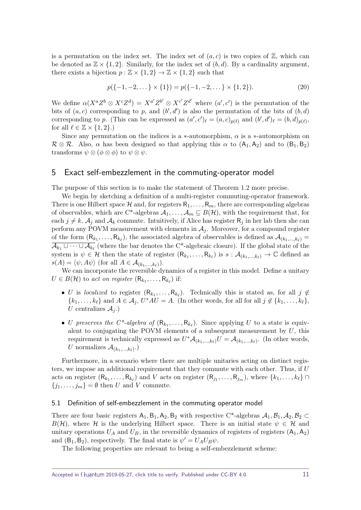is a permutation on the index set. The index set of  $(a, c)$  is two copies of  $\mathbb{Z}$ , which can be denoted as  $\mathbb{Z} \times \{1,2\}$ . Similarly, for the index set of  $(b,d)$ . By a cardinality argument, there exists a bijection  $p : \mathbb{Z} \times \{1,2\} \to \mathbb{Z} \times \{1,2\}$  such that

$$
p(\{-1, -2, \dots\} \times \{1\}) = p(\{-1, -2, \dots\} \times \{1, 2\}).
$$
 (20)

We define  $\alpha(X^a Z^b \otimes X^c Z^d) = X^{a'} Z^{b'} \otimes X^{c'} Z^{d'}$  where  $(a', c')$  is the permutation of the bits of  $(a, c)$  corresponding to p, and  $(b', d')$  is also the permutation of the bits of  $(b, d)$ corresponding to *p*. (This can be expressed as  $(a', c')_{\ell} = (a, c)_{p(\ell)}$  and  $(b', d')_{\ell} = (b, d)_{p(\ell)}$ , for all  $\ell \in \mathbb{Z} \times \{1,2\}$ .)

Since any permutation on the indices is a  $*$ -automorphism,  $\alpha$  is a  $*$ -automorphism on  $\mathcal{R} \otimes \mathcal{R}$ . Also,  $\alpha$  has been designed so that applying this  $\alpha$  to  $(A_1, A_2)$  and to  $(B_1, B_2)$ transforms  $\psi \otimes (\phi \otimes \phi)$  to  $\psi \otimes \psi$ .

## 5 Exact self-embezzlement in the commuting-operator model

The purpose of this section is to make the statement of Theorem 1.2 more precise.

We begin by sketching a definition of a multi-register commuting-operator framework. There is one Hilbert space  $H$  and, for registers  $R_1, \ldots, R_m$ , there are corresponding algebras of observables, which are C<sup>\*</sup>-algebras  $A_1, \ldots, A_m \subseteq B(H)$ , with the requirement that, for each  $j \neq k$ ,  $\mathcal{A}_j$  and  $\mathcal{A}_k$  commute. Intuitively, if Alice has register  $\mathsf{R}_j$  in her lab then she can perform any POVM measurement with elements in  $A_j$ . Moreover, for a compound register of the form  $(R_{k_1}, \ldots, R_{k_\ell})$ , the associated algebra of observables is defined as  $\mathcal{A}_{(k_1,\ldots,k_\ell)} =$  $\overline{\mathcal{A}_{k_1}\cup\cdots\cup\mathcal{A}_{k_\ell}}$  (where the bar denotes the C<sup>\*</sup>-algebraic closure). If the global state of the system is  $\psi \in \mathcal{H}$  then the state of register  $(R_{k_1},\ldots,R_{k_\ell})$  is  $s : \mathcal{A}_{(k_1,\ldots,k_\ell)} \to \mathbb{C}$  defined as  $s(A) = \langle \psi, A\psi \rangle$  (for all  $A \in \mathcal{A}_{(k_1,\ldots,k_\ell)}$ ).

We can incorporate the reversible dynamics of a register in this model. Define a unitary  $U \in B(\mathcal{H})$  to act on register  $(R_{k_1}, \ldots, R_{k_\ell})$  if:

- *U* is localized to register  $(R_{k_1}, \ldots, R_{k_\ell})$ . Technically this is stated as, for all  $j \notin$  $\{k_1, \ldots, k_\ell\}$  and  $A \in \mathcal{A}_j$ ,  $U^*AU = A$ . (In other words, for all for all  $j \notin \{k_1, \ldots, k_\ell\}$ , *U* centralizes  $A_i$ .)
- *U* preserves the  $C^*$ -algebra of  $(R_{k_1}, \ldots, R_{k_\ell})$ . Since applying *U* to a state is equivalent to conjugating the POVM elements of a subsequent measurement by  $U$ , this requirement is technically expressed as  $U^*{\cal A}_{(k_1,...,k_\ell)}U={\cal A}_{(k_1,...,k_\ell)}$ . (In other words, *U* normalizes  $\mathcal{A}_{(k_1,\ldots,k_\ell)}$ .)

Furthermore, in a scenario where there are multiple unitaries acting on distinct registers, we impose an additional requirement that they commute with each other. Thus, if *U* acts on register  $(R_{k_1}, \ldots, R_{k_\ell})$  and *V* acts on register  $(R_{j_1}, \ldots, R_{j_m})$ , where  $\{k_1, \ldots, k_\ell\} \cap$  $\{j_1, \ldots, j_m\} = \emptyset$  then *U* and *V* commute.

#### <span id="page-10-0"></span>5.1 Definition of self-embezzlement in the commuting operator model

There are four basic registers  $A_1$ ,  $B_1$ ,  $A_2$ ,  $B_2$  with respective C<sup>\*</sup>-algebras  $A_1$ ,  $B_1$ ,  $A_2$ ,  $B_2$  $B(\mathcal{H})$ , where H is the underlying Hilbert space. There is an initial state  $\psi \in \mathcal{H}$  and unitary operations  $U_A$  and  $U_B$ , in the reversible dynamics of registers of registers  $(A_1, A_2)$ and  $(B_1, B_2)$ , respectively. The final state is  $\psi' = U_A U_B \psi$ .

The following properties are relevant to being a self-embezzlement scheme: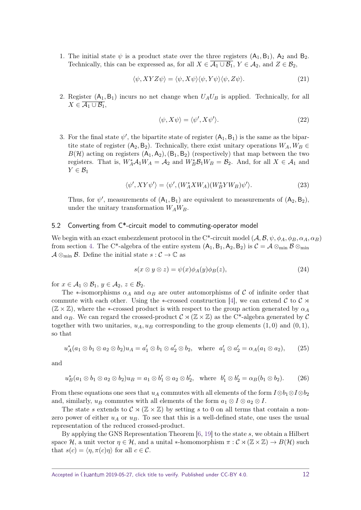1. The initial state  $\psi$  is a product state over the three registers  $(A_1, B_1)$ ,  $A_2$  and  $B_2$ . Technically, this can be expressed as, for all  $X \in \overline{\mathcal{A}_1 \cup \mathcal{B}_1}$ ,  $Y \in \mathcal{A}_2$ , and  $Z \in \mathcal{B}_2$ ,

$$
\langle \psi, XYZ\psi \rangle = \langle \psi, X\psi \rangle \langle \psi, Y\psi \rangle \langle \psi, Z\psi \rangle. \tag{21}
$$

2. Register  $(A_1, B_1)$  incurs no net change when  $U_A U_B$  is applied. Technically, for all  $X \in \overline{\mathcal{A}_1 \cup \mathcal{B}_1}$ ,

$$
\langle \psi, X\psi \rangle = \langle \psi', X\psi' \rangle. \tag{22}
$$

3. For the final state  $\psi'$ , the bipartite state of register  $(A_1, B_1)$  is the same as the bipartite state of register  $(A_2, B_2)$ . Technically, there exist unitary operations  $W_A, W_B \in$  $B(\mathcal{H})$  acting on registers  $(A_1, A_2), (B_1, B_2)$  (respectively) that map between the two registers. That is,  $W_A^* A_1 W_A = A_2$  and  $W_B^* B_1 W_B = B_2$ . And, for all  $X \in A_1$  and  $Y \in \mathcal{B}_1$ 

$$
\langle \psi', XY\psi' \rangle = \langle \psi', (W_A^* X W_A)(W_B^* Y W_B) \psi' \rangle. \tag{23}
$$

Thus, for  $\psi'$ , measurements of  $(A_1, B_1)$  are equivalent to measurements of  $(A_2, B_2)$ , under the unitary transformation *WAWB*.

#### 5.2 Converting from C\*-circuit model to commuting-operator model

We begin with an exact embezzlement protocol in the C<sup>\*</sup>-circuit model  $(A, \mathcal{B}, \psi, \phi_A, \phi_B, \alpha_A, \alpha_B)$ from section [4.](#page-8-0) The C<sup>\*</sup>-algebra of the entire system  $(A_1, B_1, A_2, B_2)$  is  $C = A \otimes_{min} \mathcal{B} \otimes_{min}$  $\mathcal{A} \otimes_{\min} \mathcal{B}$ . Define the initial state  $s : \mathcal{C} \to \mathbb{C}$  as

$$
s(x \otimes y \otimes z) = \psi(x)\phi_A(y)\phi_B(z), \qquad (24)
$$

for  $x \in A_1 \otimes B_1$ ,  $y \in A_2$ ,  $z \in B_2$ .

The  $*$ -isomorphisms  $\alpha_A$  and  $\alpha_B$  are outer automorphisms of C of infinite order that commute with each other. Using the ∗-crossed construction [\[4\]](#page-12-7), we can extend  $\mathcal C$  to  $\mathcal C \rtimes$  $(\mathbb{Z} \times \mathbb{Z})$ , where the  $\ast$ -crossed product is with respect to the group action generated by  $\alpha_A$ and  $\alpha_B$ . We can regard the crossed-product  $\mathcal{C} \rtimes (\mathbb{Z} \times \mathbb{Z})$  as the C<sup>\*</sup>-algebra generated by C together with two unitaries,  $u_A, u_B$  corresponding to the group elements  $(1,0)$  and  $(0,1)$ , so that

$$
u_A^*(a_1 \otimes b_1 \otimes a_2 \otimes b_2)u_A = a_1' \otimes b_1 \otimes a_2' \otimes b_2, \text{ where } a_1' \otimes a_2' = \alpha_A(a_1 \otimes a_2), \quad (25)
$$

and

$$
u_B^*(a_1 \otimes b_1 \otimes a_2 \otimes b_2)u_B = a_1 \otimes b_1' \otimes a_2 \otimes b_2', \text{ where } b_1' \otimes b_2' = \alpha_B(b_1 \otimes b_2). \tag{26}
$$

From these equations one sees that *u<sub>A</sub>* commutes with all elements of the form  $I \otimes b_1 \otimes I \otimes b_2$ and, similarly,  $u_B$  commutes with all elements of the form  $a_1 \otimes I \otimes a_2 \otimes I$ .

The state *s* extends to  $\mathcal{C} \rtimes (\mathbb{Z} \times \mathbb{Z})$  by setting *s* to 0 on all terms that contain a nonzero power of either  $u_A$  or  $u_B$ . To see that this is a well-defined state, one uses the usual representation of the reduced crossed-product.

By applying the GNS Representation Theorem [\[6,](#page-12-6) [19\]](#page-13-6) to the state *s*, we obtain a Hilbert space H, a unit vector  $\eta \in \mathcal{H}$ , and a unital \*-homomorphism  $\pi : \mathcal{C} \rtimes (\mathbb{Z} \times \mathbb{Z}) \to B(\mathcal{H})$  such that  $s(c) = \langle \eta, \pi(c)\eta \rangle$  for all  $c \in \mathcal{C}$ .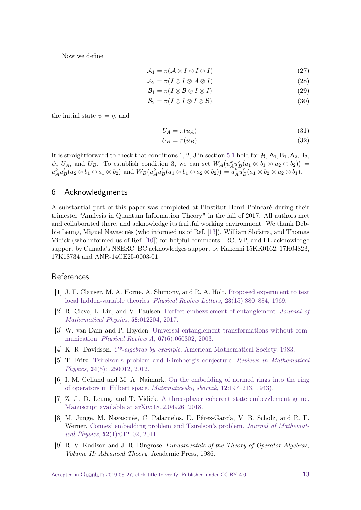Now we define

$$
A_1 = \pi (A \otimes I \otimes I \otimes I) \tag{27}
$$

$$
A_2 = \pi (I \otimes I \otimes A \otimes I) \tag{28}
$$

$$
\mathcal{B}_1 = \pi (I \otimes \mathcal{B} \otimes I \otimes I) \tag{29}
$$

$$
\mathcal{B}_2 = \pi (I \otimes I \otimes I \otimes \mathcal{B}), \tag{30}
$$

the initial state  $\psi = \eta$ , and

$$
U_A = \pi(u_A) \tag{31}
$$

$$
U_B = \pi(u_B). \tag{32}
$$

It is straightforward to check that conditions 1, 2, 3 in section [5.1](#page-10-0) hold for  $H$ ,  $A_1$ ,  $B_1$ ,  $A_2$ ,  $B_2$ ,  $\psi$ ,  $U_A$ , and  $U_B$ . To establish condition 3, we can set  $W_A(u_A^k u_B^{\ell}(a_1 \otimes b_1 \otimes a_2 \otimes b_2))$  $u_A^k u_B^{\ell}(a_2 \otimes b_1 \otimes a_1 \otimes b_2)$  and  $W_B(u_A^k u_B^{\ell}(a_1 \otimes b_1 \otimes a_2 \otimes b_2)) = u_A^k u_B^{\ell}(a_1 \otimes b_2 \otimes a_2 \otimes b_1).$ 

## 6 Acknowledgments

A substantial part of this paper was completed at l'Institut Henri Poincaré during their trimester "Analysis in Quantum Information Theory" in the fall of 2017. All authors met and collaborated there, and acknowledge its fruitful working environment. We thank Debbie Leung, Miguel Navascués (who informed us of Ref. [\[13\]](#page-13-4)), William Slofstra, and Thomas Vidick (who informed us of Ref. [\[10\]](#page-13-11)) for helpful comments. RC, VP, and LL acknowledge support by Canada's NSERC. BC acknowledges support by Kakenhi 15KK0162, 17H04823, 17K18734 and ANR-14CE25-0003-01.

## References

- <span id="page-12-5"></span>[1] J. F. Clauser, M. A. Horne, A. Shimony, and R. A. Holt. [Proposed experiment to test](https://doi.org/10.1103/PhysRevLett.23.880) [local hidden-variable theories.](https://doi.org/10.1103/PhysRevLett.23.880) Physical Review Letters, 23(15):880–884, 1969.
- <span id="page-12-3"></span>[2] R. Cleve, L. Liu, and V. Paulsen. [Perfect embezzlement of entanglement.](https://doi.org/10.1063/1.4974818) Journal of [Mathematical Physics](https://doi.org/10.1063/1.4974818), 58:012204, 2017.
- <span id="page-12-2"></span>[3] W. van Dam and P. Hayden. [Universal entanglement transformations without com](https://doi.org/10.1103/PhysRevA.67.060302)munication. [Physical Review A](https://doi.org/10.1103/PhysRevA.67.060302), 67(6):060302, 2003.
- <span id="page-12-7"></span>[4] K. R. Davidson. C\*-algebras by example[. American Mathematical Society, 1983.](https://doi.org/10.1112/S0024609397303610)
- <span id="page-12-0"></span>[5] T. Fritz. [Tsirelson's problem and Kirchberg's conjecture.](https://doi.org/10.1142/S0129055X12500122) Reviews in Mathematical Physics, 24[\(5\):1250012, 2012.](https://doi.org/10.1142/S0129055X12500122)
- <span id="page-12-6"></span>[6] I. M. Gelfand and M. A. Naimark. [On the embedding of normed rings into the ring](http://eudml.org/doc/65219) [of operators in Hilbert space.](http://eudml.org/doc/65219) Matematiceskij sbornik, 12:197–213, 1943).
- <span id="page-12-4"></span>[7] Z. Ji, D. Leung, and T. Vidick. [A three-player coherent state embezzlement game.](https://arxiv.org/abs/1802.04926) Manuscript available at [arXiv:1802.04926, 2018.](https://arxiv.org/abs/1802.04926)
- <span id="page-12-1"></span>[8] M. Junge, M. Navascués, C. Palazuelos, D. Pérez-García, V. B. Scholz, and R. F. Werner. [Connes' embedding problem and Tsirelson's problem.](https://doi.org/10.1063/1.3514538) Journal of Mathematical Physics, 52[\(1\):012102, 2011.](https://doi.org/10.1063/1.3514538)
- <span id="page-12-8"></span>[9] R. V. Kadison and J. R. Ringrose. Fundamentals of the Theory of Operator Algebras, Volume II: Advanced Theory. Academic Press, 1986.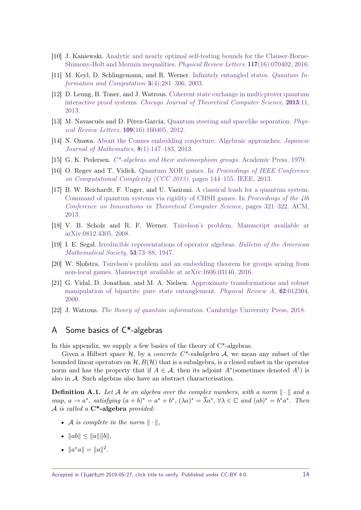- <span id="page-13-11"></span>[10] J. Kaniewski. [Analytic and nearly optimal self-testing bounds for the Clauser-Horne-](https://doi.org/10.1103/PhysRevLett.117.070402)[Shimony-Holt and Mermin inequalities.](https://doi.org/10.1103/PhysRevLett.117.070402) Physical Review Letters, 117(16):070402, 2016.
- <span id="page-13-7"></span>[11] M. Keyl, D. Schlingemann, and R. Werner. [Infinitely entangled states.](https://doi.org/10.26421/QIC18.15-16) Quantum In[formation and Computation](https://doi.org/10.26421/QIC18.15-16) 3(4):281–306, 2003.
- <span id="page-13-3"></span>[12] D. Leung, B. Toner, and J. Watrous. [Coherent state exchange in multi-prover quantum](http://cjtcs.cs.uchicago.edu/articles/2013/11/contents.html) interactive proof systems. [Chicago Journal of Theoretical Computer Science](http://cjtcs.cs.uchicago.edu/articles/2013/11/contents.html), 2013:11, [2013.](http://cjtcs.cs.uchicago.edu/articles/2013/11/contents.html)
- <span id="page-13-4"></span>[13] M. Navascués and D. Pérez-García. [Quantum steering and spacelike separation.](https://doi.org/10.1103/PhysRevLett.109.160405) Phys[ical Review Letters](https://doi.org/10.1103/PhysRevLett.109.160405), 109(16):160405, 2012.
- <span id="page-13-1"></span>[14] N. Ozawa. [About the Connes embedding conjecture: Algebraic approaches.](https://doi.org/10.1007/s11537-013-1280-5) Japanese [Journal of Mathematics](https://doi.org/10.1007/s11537-013-1280-5), 8(1):147–183, 2013.
- <span id="page-13-13"></span>[15] G. K. Pedersen. [C\\*-algebras and their automorphism groups](https://doi.org/10.1016/C2016-0-03431-9). Academic Press, 1979.
- <span id="page-13-2"></span>[16] O. Regev and T. Vidick. Quantum XOR games. In [Proceedings of IEEE Conference](https://doi.org/10.1145/2799560) [on Computational Complexity \(CCC 2013\)](https://doi.org/10.1145/2799560), pages 144–155. IEEE, 2013.
- <span id="page-13-10"></span>[17] B. W. Reichardt, F. Unger, and U. Vazirani. [A classical leash for a quantum system:](https://doi.org/10.1145/2422436.2422473) [Command of quantum systems via rigidity of CHSH games. In](https://doi.org/10.1145/2422436.2422473) *Proceedings of the 4th* [Conference on Innovations in Theoretical Computer Science](https://doi.org/10.1145/2422436.2422473), pages 321–322. ACM, [2013.](https://doi.org/10.1145/2422436.2422473)
- <span id="page-13-8"></span>[18] V. B. Scholz and R. F. Werner. [Tsirelson's problem. Manuscript available at](https://arxiv.org/abs/0812.4305) [arXiv:0812.4305, 2008.](https://arxiv.org/abs/0812.4305)
- <span id="page-13-6"></span>[19] I. E. Segal. [Irreducible representations of operator algebras.](https://doi.org/10.1090/S0002-9904-1947-08742-5) Bulletin of the American [Mathematical Society](https://doi.org/10.1090/S0002-9904-1947-08742-5), 53:73–88, 1947.
- <span id="page-13-0"></span>[20] W. Slofstra. [Tsirelson's problem and an embedding theorem for groups arising from](https://arxiv.org/abs/1606.03140) [non-local games. Manuscript available at](https://arxiv.org/abs/1606.03140) [arXiv:1606.03140,](http://arxiv.org/abs/1606.03140) 2016.
- <span id="page-13-12"></span>[21] G. Vidal, D. Jonathan, and M. A. Nielsen. [Approximate transformations and robust](https://doi.org/10.1103/PhysRevA.62.012304) [manipulation of bipartite pure state entanglement.](https://doi.org/10.1103/PhysRevA.62.012304) Physical Review A, 62:012304, [2000.](https://doi.org/10.1103/PhysRevA.62.012304)
- <span id="page-13-9"></span>[22] J. Watrous. The theory of quantum information[. Cambridge University Press, 2018.](https://doi.org/10.1017/9781316848142)

# <span id="page-13-5"></span>A Some basics of C\*-algebras

In this appendix, we supply a few basics of the theory of  $C^*$ -algebras.

Given a Hilbert space  $H$ , by a *concrete C*<sup>\*</sup>-subalgebra  $A$ , we mean any subset of the bounded linear operators on  $\mathcal{H}, B(\mathcal{H})$  that is a subalgebra, is a closed subset in the operator norm and has the property that if  $A \in \mathcal{A}$ , then its adjoint  $A^*$  (sometimes denoted  $A^{\dagger}$ ) is also in A. Such algebras also have an abstract characterisation.

**Definition A.1.** Let A be an algebra over the complex numbers, with a norm  $\|\cdot\|$  and a *map,*  $a \to a^*$ *, satisfying*  $(a + b)^* = a^* + b^*$ ,  $(\lambda a)^* = \overline{\lambda}a^*$ ,  $\forall \lambda \in \mathbb{C}$  *and*  $(ab)^* = b^*a^*$ *. Then* A *is called a* **C\*-algebra** *provided:*

- *A is complete in the norm*  $\|\cdot\|$ *,*
- $||ab|| \le ||a|| ||b||$ ,
- $\|a^*a\| = \|a\|^2.$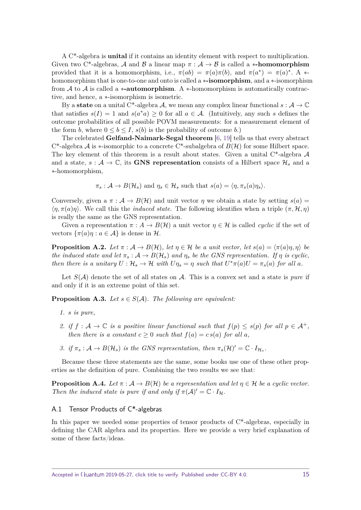A C\*-algebra is **unital** if it contains an identity element with respect to multiplication. Given two C<sup>\*</sup>-algebras, A and B a linear map  $\pi : A \to B$  is called a \*-**homomorphism** provided that it is a homomorphism, i.e.,  $\pi(ab) = \pi(a)\pi(b)$ , and  $\pi(a^*) = \pi(a)^*$ . A  $*$ homomorphism that is one-to-one and onto is called a ∗**-isomorphism**, and a ∗-isomorphism from  $A$  to  $A$  is called a  $*$ **-automorphism**. A  $*$ -homomorphism is automatically contractive, and hence, a ∗-isomorphism is isometric.

By a **state** on a unital C<sup>\*</sup>-algebra A, we mean any complex linear functional  $s : A \to \mathbb{C}$ that satisfies  $s(I) = 1$  and  $s(a^*a) \geq 0$  for all  $a \in \mathcal{A}$ . (Intuitively, any such *s* defines the outcome probabilities of all possible POVM measurements: for a measurement element of the form *b*, where  $0 \leq b \leq I$ ,  $s(b)$  is the probability of outcome *b*.)

The celebrated **Gelfand-Naimark-Segal theorem** [\[6,](#page-12-6) [19\]](#page-13-6) tells us that every abstract C<sup>\*</sup>-algebra A is  $\ast$ -isomorphic to a concrete C<sup>\*</sup>-subalgebra of  $B(\mathcal{H})$  for some Hilbert space. The key element of this theorem is a result about states. Given a unital  $C^*$ -algebra  $\mathcal A$ and a state,  $s : A \to \mathbb{C}$ , its **GNS representation** consists of a Hilbert space  $\mathcal{H}_s$  and a ∗-homomorphism,

$$
\pi_s: \mathcal{A} \to B(\mathcal{H}_s)
$$
 and  $\eta_s \in \mathcal{H}_s$  such that  $s(a) = \langle \eta, \pi_s(a)\eta_s \rangle$ .

Conversely, given a  $\pi : A \to B(H)$  and unit vector *η* we obtain a state by setting  $s(a)$  $\langle \eta, \pi(a)\eta \rangle$ . We call this the *induced state*. The following identifies when a triple  $(\pi, \mathcal{H}, \eta)$ is really the same as the GNS representation.

Given a representation  $\pi : A \to B(H)$  a unit vector  $\eta \in \mathcal{H}$  is called *cyclic* if the set of vectors  $\{\pi(a)\eta : a \in \mathcal{A}\}\$ is dense in H.

**Proposition A.2.** *Let*  $\pi : A \to B(H)$ *, let*  $\eta \in H$  *be a unit vector, let*  $s(a) = \langle \pi(a)\eta, \eta \rangle$  *be the induced state and let*  $\pi_s : A \to B(H_s)$  *and*  $\eta_s$  *be the GNS representation. If*  $\eta$  *is cyclic, then there is a unitary*  $U: \mathcal{H}_s \to \mathcal{H}$  *with*  $U\eta_s = \eta$  *such that*  $U^*\pi(a)U = \pi_s(a)$  *for all a.* 

Let  $S(\mathcal{A})$  denote the set of all states on  $\mathcal{A}$ . This is a convex set and a state is *pure* if and only if it is an extreme point of this set.

**Proposition A.3.** Let  $s \in S(\mathcal{A})$ . The following are equivalent:

- *1. s is pure,*
- *2. if*  $f : A \to \mathbb{C}$  *is a positive linear functional such that*  $f(p) \leq s(p)$  *for all*  $p \in A^+$ *, then there is a constant*  $c \geq 0$  *such that*  $f(a) = c s(a)$  *for all a,*
- *3. if*  $\pi_s : A \to B(\mathcal{H}_s)$  *is the GNS representation, then*  $\pi_s(\mathcal{H})' = \mathbb{C} \cdot I_{\mathcal{H}_s}$ .

Because these three statements are the same, some books use one of these other properties as the definition of pure. Combining the two results we see that:

**Proposition A.4.** *Let*  $\pi : A \to B(H)$  *be a representation and let*  $\eta \in \mathcal{H}$  *be a cyclic vector. Then the induced state is pure if and only if*  $\pi(\mathcal{A})' = \mathbb{C} \cdot I_{\mathcal{H}}$ .

## A.1 Tensor Products of C\*-algebras

In this paper we needed some properties of tensor products of C\*-algebras, especially in defining the CAR algebra and its properties. Here we provide a very brief explanation of some of these facts/ideas.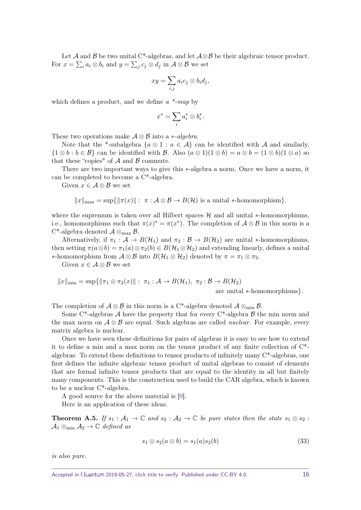Let A and B be two unital C<sup>\*</sup>-algebras, and let  $\mathcal{A} \otimes \mathcal{B}$  be their algebraic tensor product. For  $x = \sum_i a_i \otimes b_i$  and  $y = \sum_j c_j \otimes d_j$  in  $\mathcal{A} \otimes \mathcal{B}$  we set

$$
xy = \sum_{i,j} a_i c_j \otimes b_i d_j,
$$

which defines a product, and we define *a \*-map* by

$$
x^* = \sum_i a_i^* \otimes b_i^*.
$$

These two operations make A ⊗ B into a ∗*-algebra*.

Note that the <sup>\*</sup>-subalgebra  $\{a \otimes 1 : a \in \mathcal{A}\}$  can be identified with  $\mathcal A$  and similarly,  $\{1 \otimes b : b \in \mathcal{B}\}\$ can be identified with  $\mathcal{B}$ . Also  $(a \otimes 1)(1 \otimes b) = a \otimes b = (1 \otimes b)(1 \otimes a)$  so that these "copies" of  $A$  and  $B$  commute.

There are two important ways to give this ∗-algebra a norm. Once we have a norm, it can be completed to become a C\*-algebra.

Given  $x \in \mathcal{A} \otimes \mathcal{B}$  we set

$$
||x||_{\max} = \sup\{||\pi(x)||: \ \pi : A \otimes B \to B(\mathcal{H}) \text{ is a unital *-homomorphism}\},
$$

where the supremum is taken over all Hilbert spaces  $H$  and all unital  $*$ -homomorphisms, i.e., homomorphisms such that  $\pi(x)^* = \pi(x^*)$ . The completion of  $\mathcal{A} \otimes \mathcal{B}$  in this norm is a C<sup>\*</sup>-algebra denoted  $\mathcal{A} \otimes_{\text{max}} \mathcal{B}$ .

Alternatively, if  $\pi_1 : A \to B(H_1)$  and  $\pi_2 : B \to B(H_2)$  are unital \*-homomorphisms, then setting  $\pi(a\otimes b) = \pi_1(a)\otimes \pi_2(b) \in B(H_1\otimes H_2)$  and extending linearly, defines a unital ∗-homomorphism from A ⊗ B into *B*(H<sup>1</sup> ⊗ H2) denoted by *π* = *π*<sup>1</sup> ⊗ *π*2.

Given  $x \in \mathcal{A} \otimes \mathcal{B}$  we set

$$
||x||_{\min} = \sup\{||\pi_1 \otimes \pi_2(x)||: \ \pi_1 : \mathcal{A} \to B(\mathcal{H}_1), \ \pi_2 : \mathcal{B} \to B(\mathcal{H}_2)
$$

are unital ∗-homomorphisms *.*

The completion of  $\mathcal{A} \otimes \mathcal{B}$  in this norm is a C<sup>\*</sup>-algebra denoted  $\mathcal{A} \otimes_{\min} \mathcal{B}$ .

Some C<sup>\*</sup>-algebras A have the property that for every C<sup>\*</sup>-algebra B the min norm and the max norm on  $\mathcal{A} \otimes \mathcal{B}$  are equal. Such algebras are called *nuclear*. For example, every matrix algebra is nuclear.

Once we have seen these definitions for pairs of algebras it is easy to see how to extend it to define a min and a max norm on the tensor product of any finite collection of C\* algebras. To extend these definitions to tensor products of infinitely many C\*-algebras, one first defines the infinite algebraic tensor product of unital algebras to consist of elements that are formal infinite tensor products that are equal to the identity in all but finitely many components. This is the construction used to build the CAR algebra, which is known to be a nuclear C\*-algebra.

A good source for the above material is [\[9\]](#page-12-8).

Here is an application of these ideas.

**Theorem A.5.** *If*  $s_1 : A_1 \to \mathbb{C}$  *and*  $s_2 : A_2 \to \mathbb{C}$  *be pure states then the state*  $s_1 \otimes s_2$ :  $\mathcal{A}_1 \otimes_{\min} \mathcal{A}_2 \rightarrow \mathbb{C}$  *defined as* 

$$
s_1 \otimes s_2(a \otimes b) = s_1(a)s_2(b) \tag{33}
$$

*is also pure.*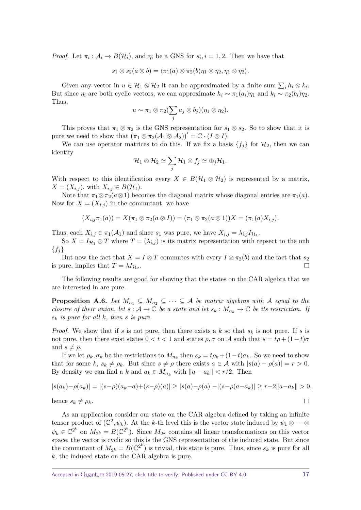*Proof.* Let  $\pi_i : A_i \to B(\mathcal{H}_i)$ , and  $\eta_i$  be a GNS for  $s_i, i = 1, 2$ . Then we have that

$$
s_1 \otimes s_2(a \otimes b) = \langle \pi_1(a) \otimes \pi_2(b) \eta_1 \otimes \eta_2, \eta_1 \otimes \eta_2 \rangle.
$$

Given any vector in  $u \in \mathcal{H}_1 \otimes \mathcal{H}_2$  it can be approximated by a finite sum  $\sum_i h_i \otimes k_i$ . But since  $\eta_i$  are both cyclic vectors, we can approximate  $h_i \sim \pi_1(a_i)\eta_1$  and  $k_i \sim \pi_2(b_i)\eta_2$ . Thus,

$$
u \sim \pi_1 \otimes \pi_2(\sum_j a_j \otimes b_j)(\eta_1 \otimes \eta_2).
$$

This proves that  $\pi_1 \otimes \pi_2$  is the GNS representation for  $s_1 \otimes s_2$ . So to show that it is pure we need to show that  $(\pi_1 \otimes \pi_2(A_1 \otimes A_2))' = \mathbb{C} \cdot (I \otimes I)$ .

We can use operator matrices to do this. If we fix a basis  $\{f_i\}$  for  $\mathcal{H}_2$ , then we can identify

$$
\mathcal{H}_1 \otimes \mathcal{H}_2 \simeq \sum_j \mathcal{H}_1 \otimes f_j \simeq \oplus_j \mathcal{H}_1.
$$

With respect to this identification every  $X \in B(\mathcal{H}_1 \otimes \mathcal{H}_2)$  is represented by a matrix,  $X = (X_{i,j})$ , with  $X_{i,j} \in B(\mathcal{H}_1)$ .

Note that  $\pi_1 \otimes \pi_2(a \otimes 1)$  becomes the diagonal matrix whose diagonal entries are  $\pi_1(a)$ . Now for  $X = (X_{i,j})$  in the commutant, we have

$$
(X_{i,j}\pi_1(a)) = X(\pi_1 \otimes \pi_2(a \otimes I)) = (\pi_1 \otimes \pi_2(a \otimes 1))X = (\pi_1(a)X_{i,j}).
$$

Thus, each  $X_{i,j} \in \pi_1(\mathcal{A}_1)$  and since  $s_1$  was pure, we have  $X_{i,j} = \lambda_{i,j} I_{\mathcal{H}_1}$ .

So  $X = I_{\mathcal{H}_1} \otimes T$  where  $T = (\lambda_{i,j})$  is its matrix representation with repsect to the onb {*fj*}.

But now the fact that  $X = I \otimes T$  commutes with every  $I \otimes \pi_2(b)$  and the fact that  $s_2$ is pure, implies that  $T = \lambda I_{\mathcal{H}_2}$ .  $\Box$ 

The following results are good for showing that the states on the CAR algebra that we are interested in are pure.

<span id="page-16-0"></span>**Proposition A.6.** Let  $M_{n_1} \subseteq M_{n_2} \subseteq \cdots \subseteq A$  be matrix algebras with A equal to the *closure of their union, let*  $s : A \to \mathbb{C}$  *be a state and let*  $s_k : M_{n_k} \to \mathbb{C}$  *be its restriction. If s<sup>k</sup> is pure for all k, then s is pure.*

*Proof.* We show that if *s* is not pure, then there exists a *k* so that *s<sup>k</sup>* is not pure. If *s* is not pure, then there exist states  $0 < t < 1$  and states  $\rho$ ,  $\sigma$  on A such that  $s = t\rho + (1-t)\sigma$ and  $s \neq \rho$ .

If we let  $\rho_k$ ,  $\sigma_k$  be the restrictions to  $M_{n_k}$  then  $s_k = t\rho_k + (1-t)\sigma_k$ . So we need to show that for some  $k, s_k \neq \rho_k$ . But since  $s \neq \rho$  there exists  $a \in \mathcal{A}$  with  $|s(a) - \rho(a)| = r > 0$ . By density we can find a *k* and  $a_k \in M_{n_k}$  with  $\|a - a_k\| < r/2$ . Then

$$
|s(a_k) - \rho(a_k)| = |(s - \rho)(a_k - a) + (s - \rho)(a)| \ge |s(a) - \rho(a)| - |(s - \rho(a - a_k)| \ge r - 2||a - a_k|| > 0,
$$

hence  $s_k \neq \rho_k$ .

As an application consider our state on the CAR algebra defined by taking an infinite tensor product of  $(\mathbb{C}^2, \psi_k)$ . At the *k*-th level this is the vector state induced by  $\psi_1 \otimes \cdots \otimes$  $\psi_k \in \mathbb{C}^{2^k}$  on  $M_{2^k} = B(\mathbb{C}^{2^k})$ . Since  $M_{2^k}$  contains all linear transformations on this vector space, the vector is cyclic so this is the GNS representation of the induced state. But since the commutant of  $M_{2^k} = B(\mathbb{C}^{2^k})$  is trivial, this state is pure. Thus, since  $s_k$  is pure for all *k*, the induced state on the CAR algebra is pure.

 $\Box$